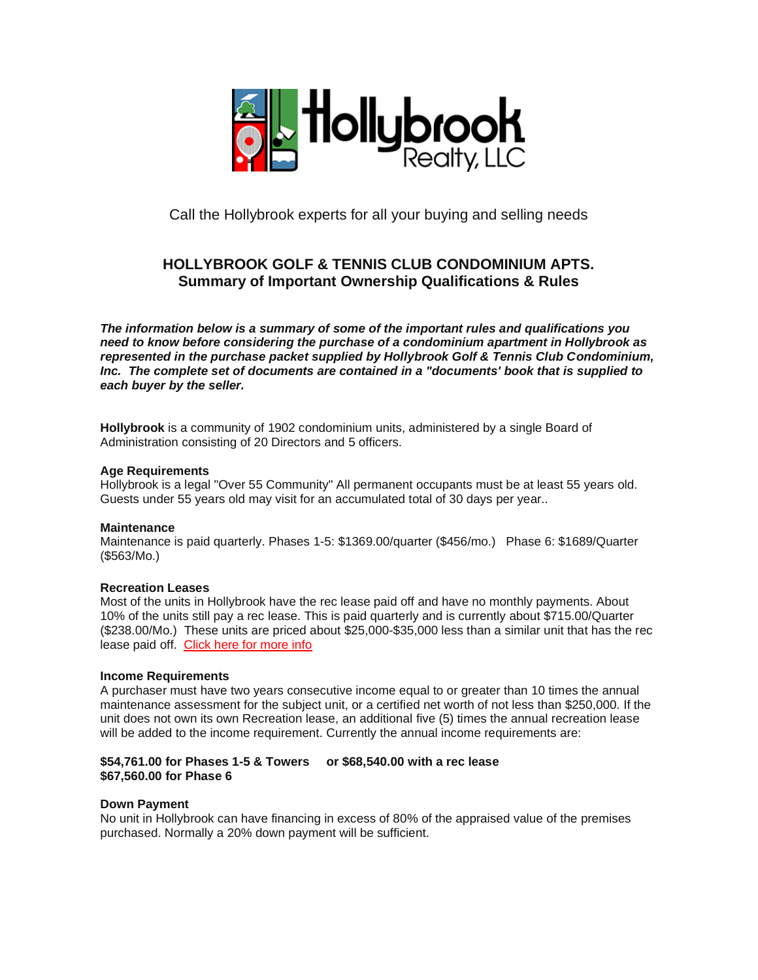

Call the Hollybrook experts for all your buying and selling needs

# **HOLLYBROOK GOLF & TENNIS CLUB CONDOMINIUM APTS. Summary of Important Ownership Qualifications & Rules**

*The information below is a summary of some of the important rules and qualifications you need to know before considering the purchase of a condominium apartment in Hollybrook as represented in the purchase packet supplied by Hollybrook Golf & Tennis Club Condominium, Inc. The complete set of documents are contained in a "documents' book that is supplied to each buyer by the seller.*

**Hollybrook** is a community of 1902 condominium units, administered by a single Board of Administration consisting of 20 Directors and 5 officers.

## **Age Requirements**

Hollybrook is a legal "Over 55 Community" All permanent occupants must be at least 55 years old. Guests under 55 years old may visit for an accumulated total of 30 days per year..

# **Maintenance**

Maintenance is paid quarterly. Phases 1-5: \$1369.00/quarter (\$456/mo.) Phase 6: \$1689/Quarter (\$563/Mo.)

#### **Recreation Leases**

Most of the units in Hollybrook have the rec lease paid off and have no monthly payments. About 10% of the units still pay a rec lease. This is paid quarterly and is currently about \$715.00/Quarter (\$238.00/Mo.) These units are priced about \$25,000-\$35,000 less than a similar unit that has the rec lease paid off. [Click here for more info](reclease.htm)

#### **Income Requirements**

A purchaser must have two years consecutive income equal to or greater than 10 times the annual maintenance assessment for the subject unit, or a certified net worth of not less than \$250,000. If the unit does not own its own Recreation lease, an additional five (5) times the annual recreation lease will be added to the income requirement. Currently the annual income requirements are:

# **\$54,761.00 for Phases 1-5 & Towers or \$68,540.00 with a rec lease \$67,560.00 for Phase 6**

# **Down Payment**

No unit in Hollybrook can have financing in excess of 80% of the appraised value of the premises purchased. Normally a 20% down payment will be sufficient.